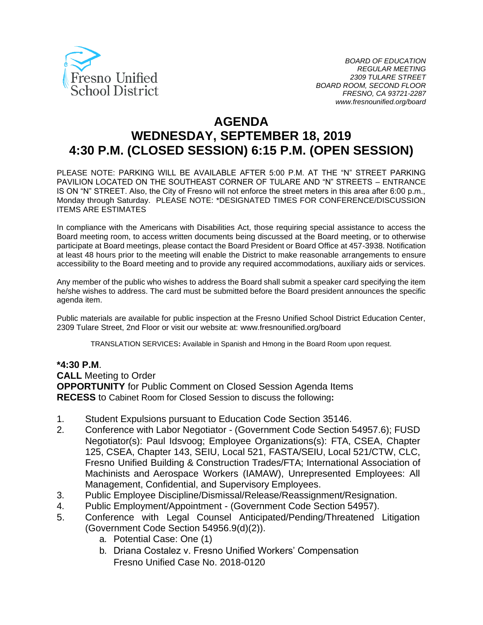

# **AGENDA WEDNESDAY, SEPTEMBER 18, 2019 4:30 P.M. (CLOSED SESSION) 6:15 P.M. (OPEN SESSION)**

PLEASE NOTE: PARKING WILL BE AVAILABLE AFTER 5:00 P.M. AT THE "N" STREET PARKING PAVILION LOCATED ON THE SOUTHEAST CORNER OF TULARE AND "N" STREETS – ENTRANCE IS ON "N" STREET. Also, the City of Fresno will not enforce the street meters in this area after 6:00 p.m., Monday through Saturday. PLEASE NOTE: \*DESIGNATED TIMES FOR CONFERENCE/DISCUSSION ITEMS ARE ESTIMATES

In compliance with the Americans with Disabilities Act, those requiring special assistance to access the Board meeting room, to access written documents being discussed at the Board meeting, or to otherwise participate at Board meetings, please contact the Board President or Board Office at 457-3938. Notification at least 48 hours prior to the meeting will enable the District to make reasonable arrangements to ensure accessibility to the Board meeting and to provide any required accommodations, auxiliary aids or services.

Any member of the public who wishes to address the Board shall submit a speaker card specifying the item he/she wishes to address. The card must be submitted before the Board president announces the specific agenda item.

Public materials are available for public inspection at the Fresno Unified School District Education Center, 2309 Tulare Street, 2nd Floor or visit our website at: www.fresnounified.org/board

TRANSLATION SERVICES**:** Available in Spanish and Hmong in the Board Room upon request.

#### **\*4:30 P.M**.

**CALL** Meeting to Order

**OPPORTUNITY** for Public Comment on Closed Session Agenda Items **RECESS** to Cabinet Room for Closed Session to discuss the following**:**

- 1. Student Expulsions pursuant to Education Code Section 35146.
- 2. Conference with Labor Negotiator (Government Code Section 54957.6); FUSD Negotiator(s): Paul Idsvoog; Employee Organizations(s): FTA, CSEA, Chapter 125, CSEA, Chapter 143, SEIU, Local 521, FASTA/SEIU, Local 521/CTW, CLC, Fresno Unified Building & Construction Trades/FTA; International Association of Machinists and Aerospace Workers (IAMAW), Unrepresented Employees: All Management, Confidential, and Supervisory Employees.
- 3. Public Employee Discipline/Dismissal/Release/Reassignment/Resignation.
- 4. Public Employment/Appointment (Government Code Section 54957).
- 5. Conference with Legal Counsel Anticipated/Pending/Threatened Litigation (Government Code Section 54956.9(d)(2)).
	- a. Potential Case: One (1)
	- b. Driana Costalez v. Fresno Unified Workers' Compensation Fresno Unified Case No. 2018-0120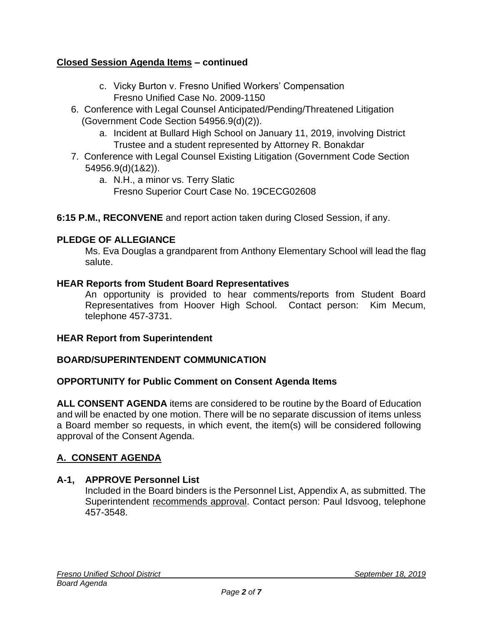# **Closed Session Agenda Items – continued**

- c. Vicky Burton v. Fresno Unified Workers' Compensation Fresno Unified Case No. 2009-1150
- 6. Conference with Legal Counsel Anticipated/Pending/Threatened Litigation (Government Code Section 54956.9(d)(2)).
	- a. Incident at Bullard High School on January 11, 2019, involving District Trustee and a student represented by Attorney R. Bonakdar
- 7. Conference with Legal Counsel Existing Litigation (Government Code Section 54956.9(d)(1&2)).
	- a. N.H., a minor vs. Terry Slatic Fresno Superior Court Case No. 19CECG02608
- **6:15 P.M., RECONVENE** and report action taken during Closed Session, if any.

# **PLEDGE OF ALLEGIANCE**

Ms. Eva Douglas a grandparent from Anthony Elementary School will lead the flag salute.

#### **HEAR Reports from Student Board Representatives**

An opportunity is provided to hear comments/reports from Student Board Representatives from Hoover High School. Contact person: Kim Mecum, telephone 457-3731.

#### **HEAR Report from Superintendent**

## **BOARD/SUPERINTENDENT COMMUNICATION**

#### **OPPORTUNITY for Public Comment on Consent Agenda Items**

**ALL CONSENT AGENDA** items are considered to be routine by the Board of Education and will be enacted by one motion. There will be no separate discussion of items unless a Board member so requests, in which event, the item(s) will be considered following approval of the Consent Agenda.

## **A. CONSENT AGENDA**

#### **A-1, APPROVE Personnel List**

Included in the Board binders is the Personnel List, Appendix A, as submitted. The Superintendent recommends approval. Contact person: Paul Idsvoog, telephone 457-3548.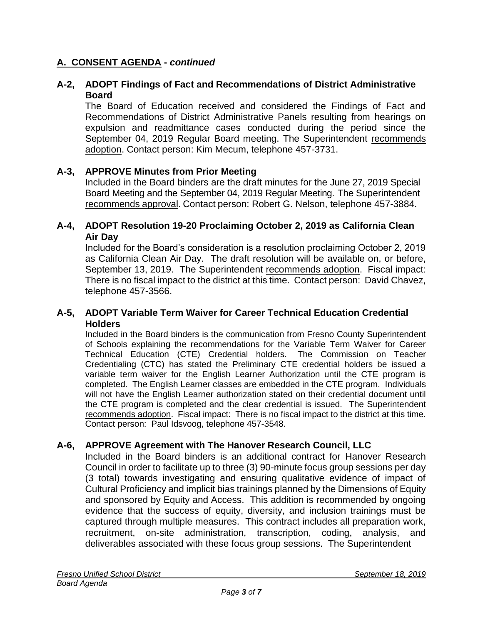# **A. CONSENT AGENDA -** *continued*

### **A-2, ADOPT Findings of Fact and Recommendations of District Administrative Board**

The Board of Education received and considered the Findings of Fact and Recommendations of District Administrative Panels resulting from hearings on expulsion and readmittance cases conducted during the period since the September 04, 2019 Regular Board meeting. The Superintendent recommends adoption. Contact person: Kim Mecum, telephone 457-3731.

#### **A-3, APPROVE Minutes from Prior Meeting**

Included in the Board binders are the draft minutes for the June 27, 2019 Special Board Meeting and the September 04, 2019 Regular Meeting. The Superintendent recommends approval. Contact person: Robert G. Nelson, telephone 457-3884.

#### **A-4, ADOPT Resolution 19-20 Proclaiming October 2, 2019 as California Clean Air Day**

Included for the Board's consideration is a resolution proclaiming October 2, 2019 as California Clean Air Day. The draft resolution will be available on, or before, September 13, 2019. The Superintendent recommends adoption. Fiscal impact: There is no fiscal impact to the district at this time. Contact person: David Chavez, telephone 457-3566.

#### **A-5, ADOPT Variable Term Waiver for Career Technical Education Credential Holders**

Included in the Board binders is the communication from Fresno County Superintendent of Schools explaining the recommendations for the Variable Term Waiver for Career Technical Education (CTE) Credential holders. The Commission on Teacher Credentialing (CTC) has stated the Preliminary CTE credential holders be issued a variable term waiver for the English Learner Authorization until the CTE program is completed. The English Learner classes are embedded in the CTE program. Individuals will not have the English Learner authorization stated on their credential document until the CTE program is completed and the clear credential is issued. The Superintendent recommends adoption. Fiscal impact: There is no fiscal impact to the district at this time. Contact person: Paul Idsvoog, telephone 457-3548.

## **A-6, APPROVE Agreement with The Hanover Research Council, LLC**

Included in the Board binders is an additional contract for Hanover Research Council in order to facilitate up to three (3) 90-minute focus group sessions per day (3 total) towards investigating and ensuring qualitative evidence of impact of Cultural Proficiency and implicit bias trainings planned by the Dimensions of Equity and sponsored by Equity and Access. This addition is recommended by ongoing evidence that the success of equity, diversity, and inclusion trainings must be captured through multiple measures. This contract includes all preparation work, recruitment, on-site administration, transcription, coding, analysis, and deliverables associated with these focus group sessions. The Superintendent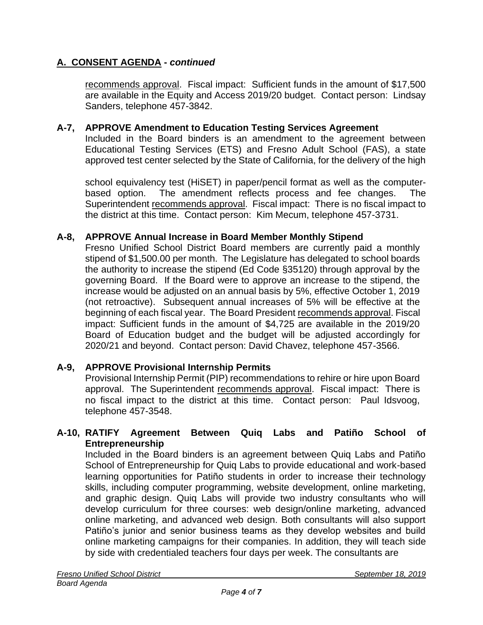# **A. CONSENT AGENDA -** *continued*

recommends approval. Fiscal impact: Sufficient funds in the amount of \$17,500 are available in the Equity and Access 2019/20 budget. Contact person: Lindsay Sanders, telephone 457-3842.

#### **A-7, APPROVE Amendment to Education Testing Services Agreement**

Included in the Board binders is an amendment to the agreement between Educational Testing Services (ETS) and Fresno Adult School (FAS), a state approved test center selected by the State of California, for the delivery of the high

school equivalency test (HiSET) in paper/pencil format as well as the computerbased option. The amendment reflects process and fee changes. The Superintendent recommends approval. Fiscal impact: There is no fiscal impact to the district at this time. Contact person: Kim Mecum, telephone 457-3731.

#### **A-8, APPROVE Annual Increase in Board Member Monthly Stipend**

Fresno Unified School District Board members are currently paid a monthly stipend of \$1,500.00 per month. The Legislature has delegated to school boards the authority to increase the stipend (Ed Code §35120) through approval by the governing Board. If the Board were to approve an increase to the stipend, the increase would be adjusted on an annual basis by 5%, effective October 1, 2019 (not retroactive). Subsequent annual increases of 5% will be effective at the beginning of each fiscal year. The Board President recommends approval. Fiscal impact: Sufficient funds in the amount of \$4,725 are available in the 2019/20 Board of Education budget and the budget will be adjusted accordingly for 2020/21 and beyond. Contact person: David Chavez, telephone 457-3566.

## **A-9, APPROVE Provisional Internship Permits**

Provisional Internship Permit (PIP) recommendations to rehire or hire upon Board approval. The Superintendent recommends approval. Fiscal impact: There is no fiscal impact to the district at this time. Contact person: Paul Idsvoog, telephone 457-3548.

#### **A-10, RATIFY Agreement Between Quiq Labs and Patiño School of Entrepreneurship**

Included in the Board binders is an agreement between Quiq Labs and Patiño School of Entrepreneurship for Quiq Labs to provide educational and work-based learning opportunities for Patiño students in order to increase their technology skills, including computer programming, website development, online marketing, and graphic design. Quiq Labs will provide two industry consultants who will develop curriculum for three courses: web design/online marketing, advanced online marketing, and advanced web design. Both consultants will also support Patiño's junior and senior business teams as they develop websites and build online marketing campaigns for their companies. In addition, they will teach side by side with credentialed teachers four days per week. The consultants are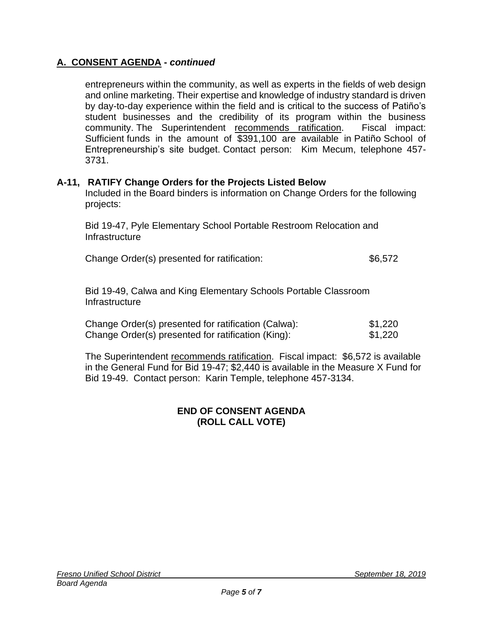## **A. CONSENT AGENDA -** *continued*

entrepreneurs within the community, as well as experts in the fields of web design and online marketing. Their expertise and knowledge of industry standard is driven by day-to-day experience within the field and is critical to the success of Patiño's student businesses and the credibility of its program within the business community. The Superintendent recommends ratification. Fiscal impact: Sufficient funds in the amount of \$391,100 are available in Patiño School of Entrepreneurship's site budget. Contact person: Kim Mecum, telephone 457- 3731.

#### **A-11, RATIFY Change Orders for the Projects Listed Below**

Included in the Board binders is information on Change Orders for the following projects:

Bid 19-47, Pyle Elementary School Portable Restroom Relocation and Infrastructure

Change Order(s) presented for ratification: \$6,572

Bid 19-49, Calwa and King Elementary Schools Portable Classroom **Infrastructure** 

| Change Order(s) presented for ratification (Calwa): | \$1,220 |
|-----------------------------------------------------|---------|
| Change Order(s) presented for ratification (King):  | \$1,220 |

The Superintendent recommends ratification. Fiscal impact: \$6,572 is available in the General Fund for Bid 19-47; \$2,440 is available in the Measure X Fund for Bid 19-49. Contact person: Karin Temple, telephone 457-3134.

#### **END OF CONSENT AGENDA (ROLL CALL VOTE)**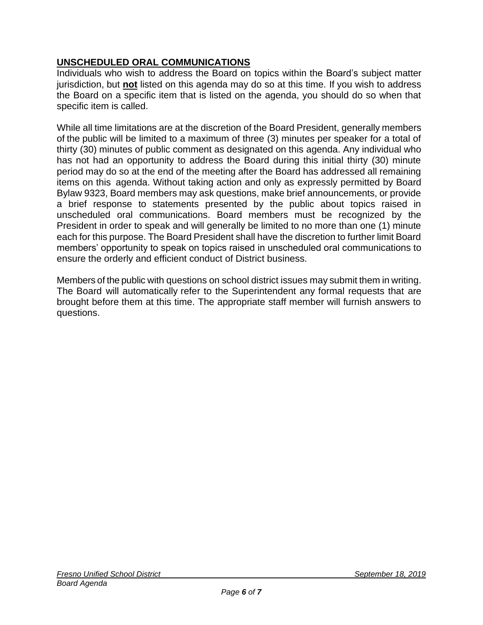# **UNSCHEDULED ORAL COMMUNICATIONS**

Individuals who wish to address the Board on topics within the Board's subject matter jurisdiction, but **not** listed on this agenda may do so at this time. If you wish to address the Board on a specific item that is listed on the agenda, you should do so when that specific item is called.

While all time limitations are at the discretion of the Board President, generally members of the public will be limited to a maximum of three (3) minutes per speaker for a total of thirty (30) minutes of public comment as designated on this agenda. Any individual who has not had an opportunity to address the Board during this initial thirty (30) minute period may do so at the end of the meeting after the Board has addressed all remaining items on this agenda. Without taking action and only as expressly permitted by Board Bylaw 9323, Board members may ask questions, make brief announcements, or provide a brief response to statements presented by the public about topics raised in unscheduled oral communications. Board members must be recognized by the President in order to speak and will generally be limited to no more than one (1) minute each for this purpose. The Board President shall have the discretion to further limit Board members' opportunity to speak on topics raised in unscheduled oral communications to ensure the orderly and efficient conduct of District business.

Members of the public with questions on school district issues may submit them in writing. The Board will automatically refer to the Superintendent any formal requests that are brought before them at this time. The appropriate staff member will furnish answers to questions.